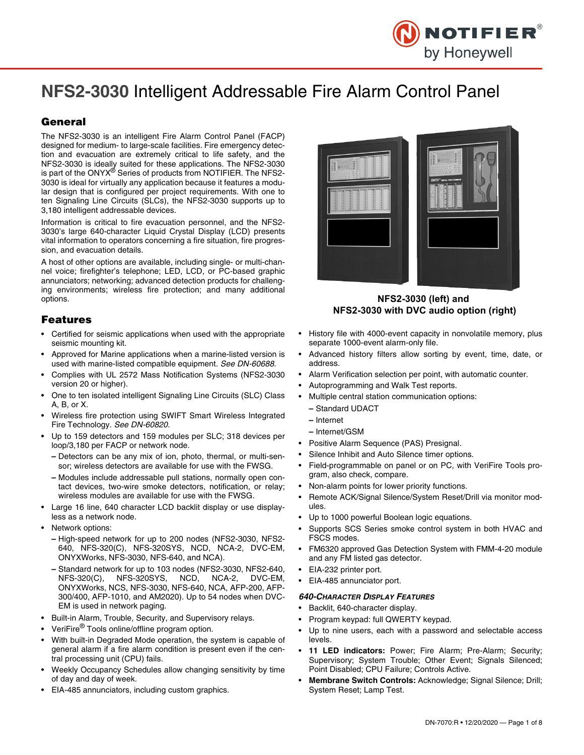

# **NFS2-3030** Intelligent Addressable Fire Alarm Control Panel

## **General**

The NFS2-3030 is an intelligent Fire Alarm Control Panel (FACP) designed for medium- to large-scale facilities. Fire emergency detection and evacuation are extremely critical to life safety, and the NFS2-3030 is ideally suited for these applications. The NFS2-3030 is part of the ONYX® Series of products from NOTIFIER. The NFS2-3030 is ideal for virtually any application because it features a modular design that is configured per project requirements. With one to ten Signaling Line Circuits (SLCs), the NFS2-3030 supports up to 3,180 intelligent addressable devices.

Information is critical to fire evacuation personnel, and the NFS2- 3030's large 640-character Liquid Crystal Display (LCD) presents vital information to operators concerning a fire situation, fire progression, and evacuation details.

A host of other options are available, including single- or multi-channel voice; firefighter's telephone; LED, LCD, or PC-based graphic annunciators; networking; advanced detection products for challenging environments; wireless fire protection; and many additional options.

### **Features**

- Certified for seismic applications when used with the appropriate seismic mounting kit.
- Approved for Marine applications when a marine-listed version is used with marine-listed compatible equipment. *See DN-60688.*
- Complies with UL 2572 Mass Notification Systems (NFS2-3030 version 20 or higher).
- One to ten isolated intelligent Signaling Line Circuits (SLC) Class A, B, or X.
- Wireless fire protection using SWIFT Smart Wireless Integrated Fire Technology. *See DN-60820.*
- Up to 159 detectors and 159 modules per SLC; 318 devices per loop/3,180 per FACP or network node.
	- **–** Detectors can be any mix of ion, photo, thermal, or multi-sensor; wireless detectors are available for use with the FWSG.
	- **–** Modules include addressable pull stations, normally open contact devices, two-wire smoke detectors, notification, or relay; wireless modules are available for use with the FWSG.
- Large 16 line, 640 character LCD backlit display or use displayless as a network node.
- Network options:
	- **–** High-speed network for up to 200 nodes (NFS2-3030, NFS2- 640, NFS-320(C), NFS-320SYS, NCD, NCA-2, DVC-EM, ONYXWorks, NFS-3030, NFS-640, and NCA).
	- **–** Standard network for up to 103 nodes (NFS2-3030, NFS2-640, NFS-320(C), NFS-320SYS, NCD, NCA-2, DVC-EM, ONYXWorks, NCS, NFS-3030, NFS-640, NCA, AFP-200, AFP-300/400, AFP-1010, and AM2020). Up to 54 nodes when DVC-EM is used in network paging.
- Built-in Alarm, Trouble, Security, and Supervisory relays.
- VeriFire<sup>®</sup> Tools online/offline program option.
- With built-in Degraded Mode operation, the system is capable of general alarm if a fire alarm condition is present even if the central processing unit (CPU) fails.
- Weekly Occupancy Schedules allow changing sensitivity by time of day and day of week.
- EIA-485 annunciators, including custom graphics.



**NFS2-3030 (left) and NFS2-3030 with DVC audio option (right)**

- History file with 4000-event capacity in nonvolatile memory, plus separate 1000-event alarm-only file.
- Advanced history filters allow sorting by event, time, date, or address.
- Alarm Verification selection per point, with automatic counter.
- Autoprogramming and Walk Test reports.
- Multiple central station communication options:
	- **–** Standard UDACT
	- **–** Internet
	- **–** Internet/GSM
- Positive Alarm Sequence (PAS) Presignal.
- Silence Inhibit and Auto Silence timer options.
- Field-programmable on panel or on PC, with VeriFire Tools program, also check, compare.
- Non-alarm points for lower priority functions.
- Remote ACK/Signal Silence/System Reset/Drill via monitor modules.
- Up to 1000 powerful Boolean logic equations.
- Supports SCS Series smoke control system in both HVAC and FSCS modes.
- FM6320 approved Gas Detection System with FMM-4-20 module and any FM listed gas detector.
- EIA-232 printer port.
- EIA-485 annunciator port.

#### *640-CHARACTER DISPLAY FEATURES*

- Backlit, 640-character display.
- Program keypad: full QWERTY keypad.
- Up to nine users, each with a password and selectable access levels.
- **11 LED indicators:** Power; Fire Alarm; Pre-Alarm; Security; Supervisory; System Trouble; Other Event; Signals Silenced; Point Disabled; CPU Failure; Controls Active.
- **Membrane Switch Controls:** Acknowledge; Signal Silence; Drill; System Reset; Lamp Test.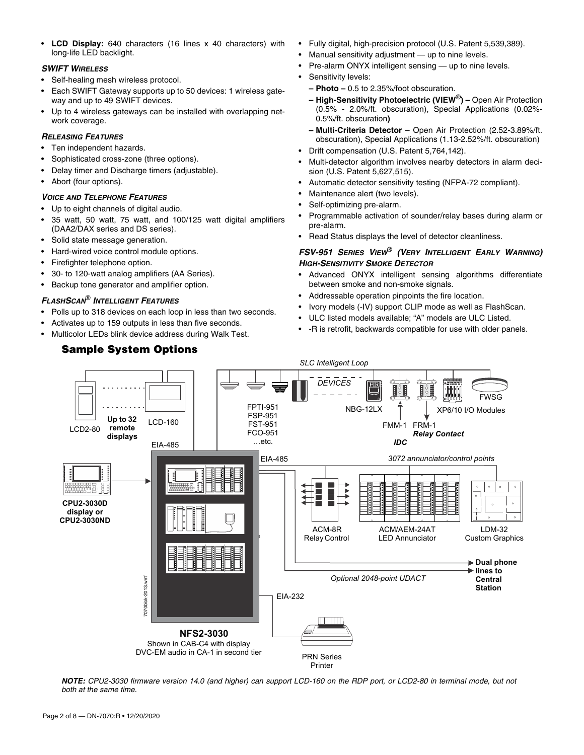• **LCD Display:** 640 characters (16 lines x 40 characters) with long-life LED backlight.

#### *SWIFT WIRELESS*

- Self-healing mesh wireless protocol.
- Each SWIFT Gateway supports up to 50 devices: 1 wireless gateway and up to 49 SWIFT devices.
- Up to 4 wireless gateways can be installed with overlapping network coverage.

## *RELEASING FEATURES*

- Ten independent hazards.
- Sophisticated cross-zone (three options).
- Delay timer and Discharge timers (adjustable).
- Abort (four options).

## *VOICE AND TELEPHONE FEATURES*

- Up to eight channels of digital audio.
- 35 watt, 50 watt, 75 watt, and 100/125 watt digital amplifiers (DAA2/DAX series and DS series).
- Solid state message generation.
- Hard-wired voice control module options.
- Firefighter telephone option.
- 30- to 120-watt analog amplifiers (AA Series).
- Backup tone generator and amplifier option.

## *FLASHSCAN*® *INTELLIGENT FEATURES*

- Polls up to 318 devices on each loop in less than two seconds.
- Activates up to 159 outputs in less than five seconds.
- Multicolor LEDs blink device address during Walk Test.

## **Sample System Options**

- Fully digital, high-precision protocol (U.S. Patent 5,539,389).
- Manual sensitivity adjustment up to nine levels.
- Pre-alarm ONYX intelligent sensing up to nine levels.
- Sensitivity levels:
	- **Photo –** 0.5 to 2.35%/foot obscuration.
	- **High-Sensitivity Photoelectric (VIEW**®**)** Open Air Protection (0.5% - 2.0%/ft. obscuration), Special Applications (0.02%- 0.5%/ft. obscuration**)**
	- **Multi-Criteria Detector**  Open Air Protection (2.52-3.89%/ft. obscuration), Special Applications (1.13-2.52%/ft. obscuration)
- Drift compensation (U.S. Patent 5,764,142).
- Multi-detector algorithm involves nearby detectors in alarm decision (U.S. Patent 5,627,515).
- Automatic detector sensitivity testing (NFPA-72 compliant).
- Maintenance alert (two levels).
- Self-optimizing pre-alarm.
- Programmable activation of sounder/relay bases during alarm or pre-alarm.
- Read Status displays the level of detector cleanliness.

## *FSV-951 SERIES VIEW*® *(VERY INTELLIGENT EARLY WARNING) HIGH-SENSITIVITY SMOKE DETECTOR*

- Advanced ONYX intelligent sensing algorithms differentiate between smoke and non-smoke signals.
- Addressable operation pinpoints the fire location.
- Ivory models (-IV) support CLIP mode as well as FlashScan.
- ULC listed models available; "A" models are ULC Listed.
- -R is retrofit, backwards compatible for use with older panels.



*NOTE: CPU2-3030 firmware version 14.0 (and higher) can support LCD-160 on the RDP port, or LCD2-80 in terminal mode, but not both at the same time.*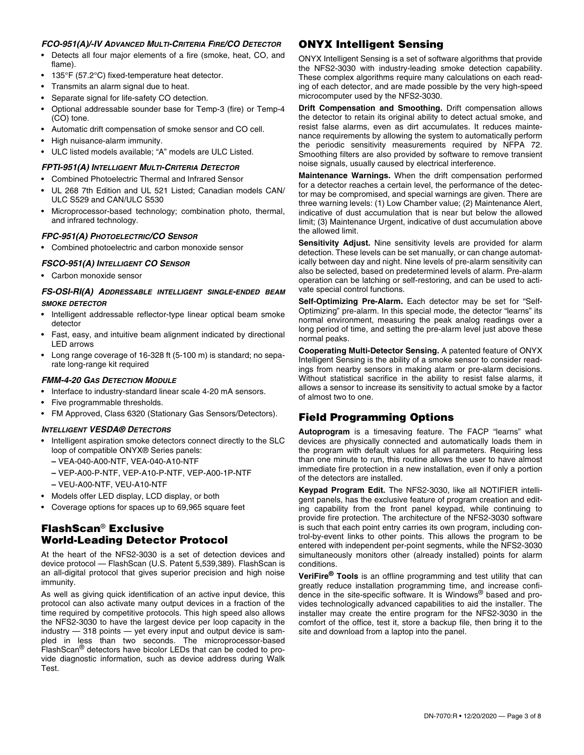#### *FCO-951(A)/-IV ADVANCED MULTI-CRITERIA FIRE/CO DETECTOR*

- Detects all four major elements of a fire (smoke, heat, CO, and flame).
- 135°F (57.2°C) fixed-temperature heat detector.
- Transmits an alarm signal due to heat.
- Separate signal for life-safety CO detection.
- Optional addressable sounder base for Temp-3 (fire) or Temp-4 (CO) tone.
- Automatic drift compensation of smoke sensor and CO cell.
- High nuisance-alarm immunity.
- ULC listed models available; "A" models are ULC Listed.

#### *FPTI-951(A) INTELLIGENT MULTI-CRITERIA DETECTOR*

- Combined Photoelectric Thermal and Infrared Sensor
- UL 268 7th Edition and UL 521 Listed; Canadian models CAN/ ULC S529 and CAN/ULC S530
- Microprocessor-based technology; combination photo, thermal, and infrared technology.

#### *FPC-951(A) PHOTOELECTRIC/CO SENSOR*

• Combined photoelectric and carbon monoxide sensor

#### *FSCO-951(A) INTELLIGENT CO SENSOR*

• Carbon monoxide sensor

#### *FS-OSI-RI(A) ADDRESSABLE INTELLIGENT SINGLE-ENDED BEAM SMOKE DETECTOR*

- Intelligent addressable reflector-type linear optical beam smoke detector
- Fast, easy, and intuitive beam alignment indicated by directional LED arrows
- Long range coverage of 16-328 ft (5-100 m) is standard; no separate long-range kit required

#### *FMM-4-20 GAS DETECTION MODULE*

- Interface to industry-standard linear scale 4-20 mA sensors.
- Five programmable thresholds.
- FM Approved, Class 6320 (Stationary Gas Sensors/Detectors).

#### *INTELLIGENT VESDA® DETECTORS*

- Intelligent aspiration smoke detectors connect directly to the SLC loop of compatible ONYX® Series panels:
	- **–** VEA-040-A00-NTF, VEA-040-A10-NTF
	- **–** VEP-A00-P-NTF, VEP-A10-P-NTF, VEP-A00-1P-NTF
	- **–** VEU-A00-NTF, VEU-A10-NTF
- Models offer LED display, LCD display, or both
- Coverage options for spaces up to 69,965 square feet

## **FlashScan**® **Exclusive World-Leading Detector Protocol**

At the heart of the NFS2-3030 is a set of detection devices and device protocol — FlashScan (U.S. Patent 5,539,389). FlashScan is an all-digital protocol that gives superior precision and high noise immunity.

As well as giving quick identification of an active input device, this protocol can also activate many output devices in a fraction of the time required by competitive protocols. This high speed also allows the NFS2-3030 to have the largest device per loop capacity in the industry — 318 points — yet every input and output device is sampled in less than two seconds. The microprocessor-based FlashScan® detectors have bicolor LEDs that can be coded to provide diagnostic information, such as device address during Walk Test.

## **ONYX Intelligent Sensing**

ONYX Intelligent Sensing is a set of software algorithms that provide the NFS2-3030 with industry-leading smoke detection capability. These complex algorithms require many calculations on each reading of each detector, and are made possible by the very high-speed microcomputer used by the NFS2-3030.

**Drift Compensation and Smoothing.** Drift compensation allows the detector to retain its original ability to detect actual smoke, and resist false alarms, even as dirt accumulates. It reduces maintenance requirements by allowing the system to automatically perform the periodic sensitivity measurements required by NFPA 72. Smoothing filters are also provided by software to remove transient noise signals, usually caused by electrical interference.

**Maintenance Warnings.** When the drift compensation performed for a detector reaches a certain level, the performance of the detector may be compromised, and special warnings are given. There are three warning levels: (1) Low Chamber value; (2) Maintenance Alert, indicative of dust accumulation that is near but below the allowed limit; (3) Maintenance Urgent, indicative of dust accumulation above the allowed limit.

**Sensitivity Adjust.** Nine sensitivity levels are provided for alarm detection. These levels can be set manually, or can change automatically between day and night. Nine levels of pre-alarm sensitivity can also be selected, based on predetermined levels of alarm. Pre-alarm operation can be latching or self-restoring, and can be used to activate special control functions.

**Self-Optimizing Pre-Alarm.** Each detector may be set for "Self-Optimizing" pre-alarm. In this special mode, the detector "learns" its normal environment, measuring the peak analog readings over a long period of time, and setting the pre-alarm level just above these normal peaks.

**Cooperating Multi-Detector Sensing.** A patented feature of ONYX Intelligent Sensing is the ability of a smoke sensor to consider readings from nearby sensors in making alarm or pre-alarm decisions. Without statistical sacrifice in the ability to resist false alarms, it allows a sensor to increase its sensitivity to actual smoke by a factor of almost two to one.

## **Field Programming Options**

**Autoprogram** is a timesaving feature. The FACP "learns" what devices are physically connected and automatically loads them in the program with default values for all parameters. Requiring less than one minute to run, this routine allows the user to have almost immediate fire protection in a new installation, even if only a portion of the detectors are installed.

**Keypad Program Edit.** The NFS2-3030, like all NOTIFIER intelligent panels, has the exclusive feature of program creation and editing capability from the front panel keypad, while continuing to provide fire protection. The architecture of the NFS2-3030 software is such that each point entry carries its own program, including control-by-event links to other points. This allows the program to be entered with independent per-point segments, while the NFS2-3030 simultaneously monitors other (already installed) points for alarm conditions.

**VeriFire® Tools** is an offline programming and test utility that can greatly reduce installation programming time, and increase confidence in the site-specific software. It is Windows® based and provides technologically advanced capabilities to aid the installer. The installer may create the entire program for the NFS2-3030 in the comfort of the office, test it, store a backup file, then bring it to the site and download from a laptop into the panel.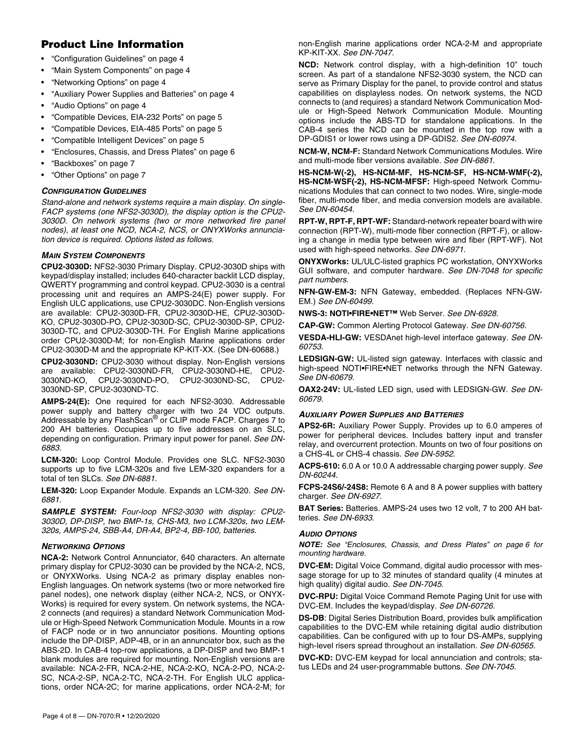## **Product Line Information**

- "Configuration Guidelines" on page 4
- "Main System Components" on page 4
- "Networking Options" on page 4
- "Auxiliary Power Supplies and Batteries" on page 4
- "Audio Options" on page 4
- "Compatible Devices, EIA-232 Ports" on page 5
- "Compatible Devices, EIA-485 Ports" on page 5
- "Compatible Intelligent Devices" on page 5
- "Enclosures, Chassis, and Dress Plates" on page 6
- "Backboxes" on page 7
- "Other Options" on page 7

#### *CONFIGURATION GUIDELINES*

*Stand-alone and network systems require a main display. On single-FACP systems (one NFS2-3030D), the display option is the CPU2- 3030D. On network systems (two or more networked fire panel nodes), at least one NCD, NCA-2, NCS, or ONYXWorks annunciation device is required. Options listed as follows.*

#### *MAIN SYSTEM COMPONENTS*

**CPU2-3030D:** NFS2-3030 Primary Display. CPU2-3030D ships with keypad/display installed; includes 640-character backlit LCD display, QWERTY programming and control keypad. CPU2-3030 is a central processing unit and requires an AMPS-24(E) power supply. For English ULC applications, use CPU2-3030DC. Non-English versions are available: CPU2-3030D-FR, CPU2-3030D-HE, CPU2-3030D-KO, CPU2-3030D-PO, CPU2-3030D-SC, CPU2-3030D-SP, CPU2- 3030D-TC, and CPU2-3030D-TH. For English Marine applications order CPU2-3030D-M; for non-English Marine applications order CPU2-3030D-M and the appropriate KP-KIT-XX. (See DN-60688.)

**CPU2-3030ND:** CPU2-3030 without display. Non-English versions are available: CPU2-3030ND-FR, CPU2-3030ND-HE, CPU2- 3030ND-KO, CPU2-3030ND-PO, CPU2-3030ND-SC, CPU2- 3030ND-SP, CPU2-3030ND-TC.

**AMPS-24(E):** One required for each NFS2-3030. Addressable power supply and battery charger with two 24 VDC outputs. Addressable by any FlashScan® or CLIP mode FACP. Charges 7 to 200 AH batteries. Occupies up to five addresses on an SLC, depending on configuration. Primary input power for panel. *See DN-6883.*

**LCM-320:** Loop Control Module. Provides one SLC. NFS2-3030 supports up to five LCM-320s and five LEM-320 expanders for a total of ten SLCs. *See DN-6881.* 

**LEM-320:** Loop Expander Module. Expands an LCM-320. *See DN-6881.*

*SAMPLE SYSTEM: Four-loop NFS2-3030 with display: CPU2- 3030D, DP-DISP, two BMP-1s, CHS-M3, two LCM-320s, two LEM-320s, AMPS-24, SBB-A4, DR-A4, BP2-4, BB-100, batteries.*

#### *NETWORKING OPTIONS*

**NCA-2:** Network Control Annunciator, 640 characters. An alternate primary display for CPU2-3030 can be provided by the NCA-2, NCS, or ONYXWorks. Using NCA-2 as primary display enables non-English languages. On network systems (two or more networked fire panel nodes), one network display (either NCA-2, NCS, or ONYX-Works) is required for every system. On network systems, the NCA-2 connects (and requires) a standard Network Communication Module or High-Speed Network Communication Module. Mounts in a row of FACP node or in two annunciator positions. Mounting options include the DP-DISP, ADP-4B, or in an annunciator box, such as the ABS-2D. In CAB-4 top-row applications, a DP-DISP and two BMP-1 blank modules are required for mounting. Non-English versions are available: NCA-2-FR, NCA-2-HE, NCA-2-KO, NCA-2-PO, NCA-2- SC, NCA-2-SP, NCA-2-TC, NCA-2-TH. For English ULC applications, order NCA-2C; for marine applications, order NCA-2-M; for non-English marine applications order NCA-2-M and appropriate KP-KIT-XX. *See DN-7047.*

**NCD:** Network control display, with a high-definition 10" touch screen. As part of a standalone NFS2-3030 system, the NCD can serve as Primary Display for the panel, to provide control and status capabilities on displayless nodes. On network systems, the NCD connects to (and requires) a standard Network Communication Module or High-Speed Network Communication Module. Mounting options include the ABS-TD for standalone applications. In the CAB-4 series the NCD can be mounted in the top row with a DP-GDIS1 or lower rows using a DP-GDIS2. *See DN-60974.*

**NCM-W, NCM-F:** Standard Network Communications Modules. Wire and multi-mode fiber versions available. *See DN-6861*.

**HS-NCM-W(-2), HS-NCM-MF, HS-NCM-SF, HS-NCM-WMF(-2), HS-NCM-WSF(-2), HS-NCM-MFSF:** High-speed Network Communications Modules that can connect to two nodes. Wire, single-mode fiber, multi-mode fiber, and media conversion models are available. *See DN-60454.* 

**RPT-W, RPT-F, RPT-WF:** Standard-network repeater board with wire connection (RPT-W), multi-mode fiber connection (RPT-F), or allowing a change in media type between wire and fiber (RPT-WF). Not used with high-speed networks. *See DN-6971.* 

**ONYXWorks:** UL/ULC-listed graphics PC workstation, ONYXWorks GUI software, and computer hardware. *See DN-7048 for specific part numbers.*

**NFN-GW-EM-3:** NFN Gateway, embedded. (Replaces NFN-GW-EM.) *See DN-60499.* 

**NWS-3: NOTI•FIRE•NET™** Web Server. *See DN-6928.*

**CAP-GW:** Common Alerting Protocol Gateway. *See DN-60756.* 

**VESDA-HLI-GW:** VESDAnet high-level interface gateway. *See DN-60753.*

**LEDSIGN-GW:** UL-listed sign gateway. Interfaces with classic and high-speed NOTI•FIRE•NET networks through the NFN Gateway. *See DN-60679.* 

**OAX2-24V:** UL-listed LED sign, used with LEDSIGN-GW. *See DN-60679.* 

#### *AUXILIARY POWER SUPPLIES AND BATTERIES*

**APS2-6R:** Auxiliary Power Supply. Provides up to 6.0 amperes of power for peripheral devices. Includes battery input and transfer relay, and overcurrent protection. Mounts on two of four positions on a CHS-4L or CHS-4 chassis. *See DN-5952*.

**ACPS-610:** 6.0 A or 10.0 A addressable charging power supply. *See DN-60244.* 

**FCPS-24S6/-24S8:** Remote 6 A and 8 A power supplies with battery charger. *See DN-6927.*

**BAT Series:** Batteries. AMPS-24 uses two 12 volt, 7 to 200 AH batteries. *See DN-6933*.

#### *AUDIO OPTIONS*

*NOTE: See "Enclosures, Chassis, and Dress Plates" on page 6 for mounting hardware.* 

**DVC-EM:** Digital Voice Command, digital audio processor with message storage for up to 32 minutes of standard quality (4 minutes at high quality) digital audio. *See DN-7045.*

**DVC-RPU:** Digital Voice Command Remote Paging Unit for use with DVC-EM. Includes the keypad/display. *See DN-60726.* 

**DS-DB**: Digital Series Distribution Board, provides bulk amplification capabilities to the DVC-EM while retaining digital audio distribution capabilities. Can be configured with up to four DS-AMPs, supplying high-level risers spread throughout an installation. *See DN-60565.*

**DVC-KD:** DVC-EM keypad for local annunciation and controls; status LEDs and 24 user-programmable buttons. *See DN-7045*.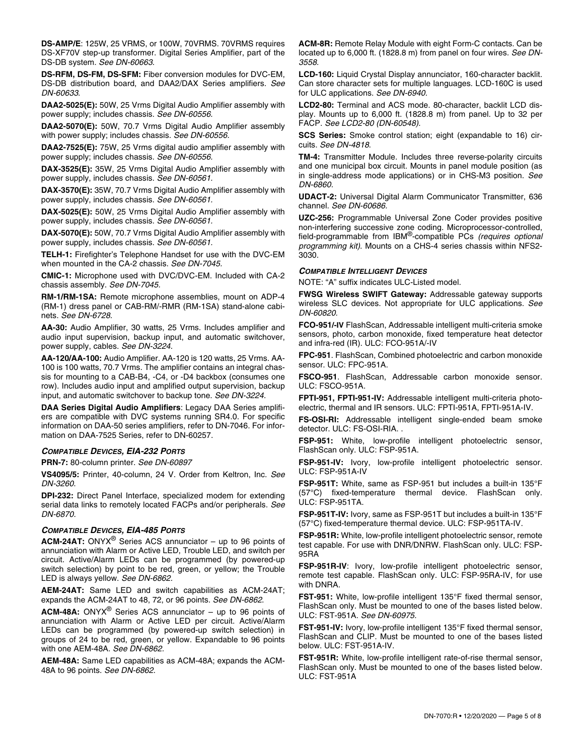**DS-AMP/E**: 125W, 25 VRMS, or 100W, 70VRMS. 70VRMS requires DS-XF70V step-up transformer. Digital Series Amplifier, part of the DS-DB system. *See DN-60663.*

**DS-RFM, DS-FM, DS-SFM:** Fiber conversion modules for DVC-EM, DS-DB distribution board, and DAA2/DAX Series amplifiers. *See DN-60633*.

**DAA2-5025(E):** 50W, 25 Vrms Digital Audio Amplifier assembly with power supply; includes chassis. *See DN-60556.*

**DAA2-5070(E):** 50W, 70.7 Vrms Digital Audio Amplifier assembly with power supply; includes chassis. *See DN-60556.*

**DAA2-7525(E):** 75W, 25 Vrms digital audio amplifier assembly with power supply; includes chassis. *See DN-60556.*

**DAX-3525(E):** 35W, 25 Vrms Digital Audio Amplifier assembly with power supply, includes chassis. *See DN-60561.*

**DAX-3570(E):** 35W, 70.7 Vrms Digital Audio Amplifier assembly with power supply, includes chassis. *See DN-60561.*

**DAX-5025(E):** 50W, 25 Vrms Digital Audio Amplifier assembly with power supply, includes chassis. *See DN-60561.*

**DAX-5070(E):** 50W, 70.7 Vrms Digital Audio Amplifier assembly with power supply, includes chassis. *See DN-60561.*

**TELH-1:** Firefighter's Telephone Handset for use with the DVC-EM when mounted in the CA-2 chassis. *See DN-7045.*

**CMIC-1:** Microphone used with DVC/DVC-EM. Included with CA-2 chassis assembly. *See DN-7045.*

**RM-1/RM-1SA:** Remote microphone assemblies, mount on ADP-4 (RM-1) dress panel or CAB-RM/-RMR (RM-1SA) stand-alone cabinets. *See DN-6728.*

**AA-30:** Audio Amplifier, 30 watts, 25 Vrms. Includes amplifier and audio input supervision, backup input, and automatic switchover, power supply, cables. *See DN-3224.*

**AA-120/AA-100:** Audio Amplifier. AA-120 is 120 watts, 25 Vrms. AA-100 is 100 watts, 70.7 Vrms. The amplifier contains an integral chassis for mounting to a CAB-B4, -C4, or -D4 backbox (consumes one row). Includes audio input and amplified output supervision, backup input, and automatic switchover to backup tone. *See DN-3224.*

**DAA Series Digital Audio Amplifiers**: Legacy DAA Series amplifiers are compatible with DVC systems running SR4.0. For specific information on DAA-50 series amplifiers, refer to DN-7046. For information on DAA-7525 Series, refer to DN-60257.

#### *COMPATIBLE DEVICES, EIA-232 PORTS*

**PRN-7:** 80-column printer. *See DN-60897* 

**VS4095/5:** Printer, 40-column, 24 V. Order from Keltron, Inc. *See DN-3260*.

**DPI-232:** Direct Panel Interface, specialized modem for extending serial data links to remotely located FACPs and/or peripherals. *See DN-6870.* 

#### *COMPATIBLE DEVICES, EIA-485 PORTS*

**ACM-24AT:** ONYX® Series ACS annunciator – up to 96 points of annunciation with Alarm or Active LED, Trouble LED, and switch per circuit. Active/Alarm LEDs can be programmed (by powered-up switch selection) by point to be red, green, or yellow; the Trouble LED is always yellow. *See DN-6862.* 

**AEM-24AT:** Same LED and switch capabilities as ACM-24AT; expands the ACM-24AT to 48, 72, or 96 points. *See DN-6862*.

**ACM-48A:** ONYX® Series ACS annunciator – up to 96 points of annunciation with Alarm or Active LED per circuit. Active/Alarm LEDs can be programmed (by powered-up switch selection) in groups of 24 to be red, green, or yellow. Expandable to 96 points with one AEM-48A. *See DN-6862.* 

**AEM-48A:** Same LED capabilities as ACM-48A; expands the ACM-48A to 96 points. *See DN-6862*.

**ACM-8R:** Remote Relay Module with eight Form-C contacts. Can be located up to 6,000 ft. (1828.8 m) from panel on four wires. *See DN-3558.*

**LCD-160:** Liquid Crystal Display annunciator, 160-character backlit. Can store character sets for multiple languages. LCD-160C is used for ULC applications. *See DN-6940.* 

**LCD2-80:** Terminal and ACS mode. 80-character, backlit LCD display. Mounts up to 6,000 ft. (1828.8 m) from panel. Up to 32 per FACP. *See LCD2-80 (DN-60548).*

**SCS Series:** Smoke control station; eight (expandable to 16) circuits. *See DN-4818*.

**TM-4:** Transmitter Module. Includes three reverse-polarity circuits and one municipal box circuit. Mounts in panel module position (as in single-address mode applications) or in CHS-M3 position. *See DN-6860.*

**UDACT-2:** Universal Digital Alarm Communicator Transmitter, 636 channel. *See DN-60686.*

**UZC-256:** Programmable Universal Zone Coder provides positive non-interfering successive zone coding. Microprocessor-controlled, field-programmable from IBM®-compatible PCs *(requires optional programming kit)*. Mounts on a CHS-4 series chassis within NFS2- 3030.

#### *COMPATIBLE INTELLIGENT DEVICES*

NOTE: "A" suffix indicates ULC-Listed model.

**FWSG Wireless SWIFT Gateway:** Addressable gateway supports wireless SLC devices. Not appropriate for ULC applications. *See DN-60820.* 

**FCO-951/-IV** FlashScan, Addressable intelligent multi-criteria smoke sensors, photo, carbon monoxide, fixed temperature heat detector and infra-red (IR). ULC: FCO-951A/-IV

**FPC-951**. FlashScan, Combined photoelectric and carbon monoxide sensor. ULC: FPC-951A.

**FSCO-951**. FlashScan, Addressable carbon monoxide sensor. ULC: FSCO-951A.

**FPTI-951, FPTI-951-IV:** Addressable intelligent multi-criteria photoelectric, thermal and IR sensors. ULC: FPTI-951A, FPTI-951A-IV.

**FS-OSI-RI:** Addressable intelligent single-ended beam smoke detector. ULC: FS-OSI-RIA. .

**FSP-951:** White, low-profile intelligent photoelectric sensor, FlashScan only. ULC: FSP-951A.

**FSP-951-IV:** Ivory, low-profile intelligent photoelectric sensor. ULC: FSP-951A-IV

**FSP-951T:** White, same as FSP-951 but includes a built-in 135°F (57°C) fixed-temperature thermal device. FlashScan only. ULC: FSP-951TA.

**FSP-951T-IV:** Ivory, same as FSP-951T but includes a built-in 135°F (57°C) fixed-temperature thermal device. ULC: FSP-951TA-IV.

**FSP-951R:** White, low-profile intelligent photoelectric sensor, remote test capable. For use with DNR/DNRW. FlashScan only. ULC: FSP-95RA

**FSP-951R-IV**: Ivory, low-profile intelligent photoelectric sensor, remote test capable. FlashScan only. ULC: FSP-95RA-IV, for use with DNRA.

**FST-951:** White, low-profile intelligent 135°F fixed thermal sensor, FlashScan only. Must be mounted to one of the bases listed below. ULC: FST-951A. *See DN-60975.*

**FST-951-IV:** Ivory, low-profile intelligent 135°F fixed thermal sensor, FlashScan and CLIP. Must be mounted to one of the bases listed below. ULC: FST-951A-IV.

**FST-951R:** White, low-profile intelligent rate-of-rise thermal sensor, FlashScan only. Must be mounted to one of the bases listed below. ULC: FST-951A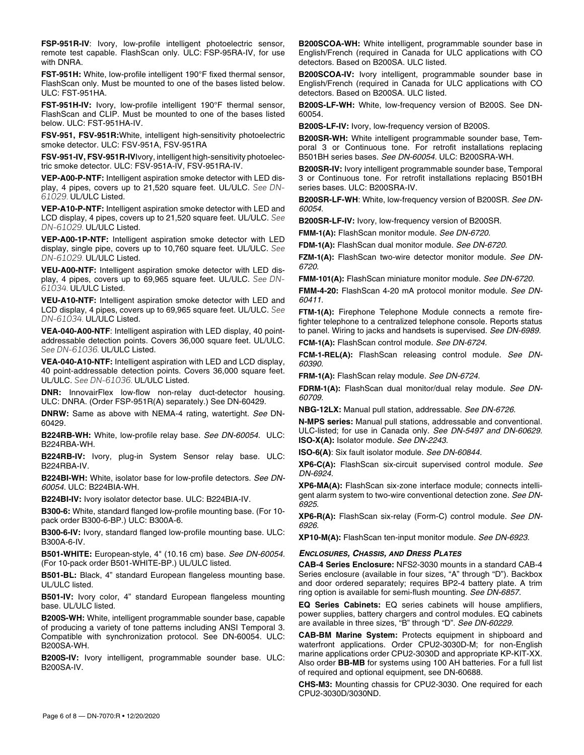**FSP-951R-IV**: Ivory, low-profile intelligent photoelectric sensor, remote test capable. FlashScan only. ULC: FSP-95RA-IV, for use with DNRA.

**FST-951H:** White, low-profile intelligent 190°F fixed thermal sensor, FlashScan only. Must be mounted to one of the bases listed below. ULC: FST-951HA.

**FST-951H-IV:** Ivory, low-profile intelligent 190°F thermal sensor, FlashScan and CLIP. Must be mounted to one of the bases listed below. ULC: FST-951HA-IV.

**FSV-951, FSV-951R:**White, intelligent high-sensitivity photoelectric smoke detector. ULC: FSV-951A, FSV-951RA

**FSV-951-IV, FSV-951R-IV**Ivory, intelligent high-sensitivity photoelectric smoke detector. ULC: FSV-951A-IV, FSV-951RA-IV.

**VEP-A00-P-NTF:** Intelligent aspiration smoke detector with LED display, 4 pipes, covers up to 21,520 square feet. UL/ULC. *See DN-61029.* UL/ULC Listed.

**VEP-A10-P-NTF:** Intelligent aspiration smoke detector with LED and LCD display, 4 pipes, covers up to 21,520 square feet. UL/ULC. *See DN-61029.* UL/ULC Listed.

**VEP-A00-1P-NTF:** Intelligent aspiration smoke detector with LED display, single pipe, covers up to 10,760 square feet. UL/ULC. *See DN-61029.* UL/ULC Listed.

**VEU-A00-NTF:** Intelligent aspiration smoke detector with LED display, 4 pipes, covers up to 69,965 square feet. UL/ULC. *See DN-61034.* UL/ULC Listed.

**VEU-A10-NTF:** Intelligent aspiration smoke detector with LED and LCD display, 4 pipes, covers up to 69,965 square feet. UL/ULC. *See DN-61034.* UL/ULC Listed.

**VEA-040-A00-NTF**: Intelligent aspiration with LED display, 40 pointaddressable detection points. Covers 36,000 square feet. UL/ULC. *See DN-61036.* UL/ULC Listed.

**VEA-040-A10-NTF:** Intelligent aspiration with LED and LCD display, 40 point-addressable detection points. Covers 36,000 square feet. UL/ULC. *See DN-61036.* UL/ULC Listed.

**DNR:** InnovairFlex low-flow non-relay duct-detector housing. ULC: DNRA. (Order FSP-951R(A) separately.) See DN-60429.

**DNRW:** Same as above with NEMA-4 rating, watertight. *See* DN-60429*.* 

**B224RB-WH:** White, low-profile relay base. *See DN-60054.* ULC: B224RBA-WH.

**B224RB-IV:** Ivory, plug-in System Sensor relay base. ULC: B224RBA-IV.

**B224BI-WH:** White, isolator base for low-profile detectors. *See DN-60054.* ULC: B224BIA-WH.

**B224BI-IV:** Ivory isolator detector base. ULC: B224BIA-IV.

**B300-6:** White, standard flanged low-profile mounting base. (For 10 pack order B300-6-BP.) ULC: B300A-6.

**B300-6-IV:** Ivory, standard flanged low-profile mounting base. ULC: B300A-6-IV.

**B501-WHITE:** European-style, 4" (10.16 cm) base. *See DN-60054.* (For 10-pack order B501-WHITE-BP.) UL/ULC listed.

**B501-BL:** Black, 4" standard European flangeless mounting base. UL/ULC listed.

**B501-IV:** Ivory color, 4" standard European flangeless mounting base. UL/ULC listed.

**B200S-WH:** White, intelligent programmable sounder base, capable of producing a variety of tone patterns including ANSI Temporal 3. Compatible with synchronization protocol. See DN-60054. ULC: B200SA-WH.

**B200S-IV:** Ivory intelligent, programmable sounder base. ULC: B200SA-IV.

**B200SCOA-WH:** White intelligent, programmable sounder base in English/French (required in Canada for ULC applications with CO detectors. Based on B200SA. ULC listed.

**B200SCOA-IV:** Ivory intelligent, programmable sounder base in English/French (required in Canada for ULC applications with CO detectors. Based on B200SA. ULC listed.

**B200S-LF-WH:** White, low-frequency version of B200S. See DN-60054.

**B200S-LF-IV:** Ivory, low-frequency version of B200S.

**B200SR-WH:** White intelligent programmable sounder base, Temporal 3 or Continuous tone. For retrofit installations replacing B501BH series bases. *See DN-60054.* ULC: B200SRA-WH.

**B200SR-IV:** Ivory intelligent programmable sounder base, Temporal 3 or Continuous tone. For retrofit installations replacing B501BH series bases. ULC: B200SRA-IV.

**B200SR-LF-WH**: White, low-frequency version of B200SR. *See DN-60054.* 

**B200SR-LF-IV:** Ivory, low-frequency version of B200SR.

**FMM-1(A):** FlashScan monitor module. *See DN-6720.* 

**FDM-1(A):** FlashScan dual monitor module. *See DN-6720.* 

**FZM-1(A):** FlashScan two-wire detector monitor module. *See DN-6720.* 

**FMM-101(A):** FlashScan miniature monitor module. *See DN-6720.* 

**FMM-4-20:** FlashScan 4-20 mA protocol monitor module. *See DN-60411.* 

**FTM-1(A):** Firephone Telephone Module connects a remote firefighter telephone to a centralized telephone console. Reports status to panel. Wiring to jacks and handsets is supervised. *See DN-6989.*

**FCM-1(A):** FlashScan control module. *See DN-6724.*

**FCM-1-REL(A):** FlashScan releasing control module. *See DN-60390.* 

**FRM-1(A):** FlashScan relay module. *See DN-6724.* 

**FDRM-1(A):** FlashScan dual monitor/dual relay module. *See DN-60709.*

**NBG-12LX:** Manual pull station, addressable. *See DN-6726.*

**N-MPS series:** Manual pull stations, addressable and conventional. ULC-listed; for use in Canada only. *See DN-5497 and DN-60629.* **ISO-X(A):** Isolator module. *See DN-2243.*

**ISO-6(A)**: Six fault isolator module. *See DN-60844.* 

**XP6-C(A):** FlashScan six-circuit supervised control module. *See DN-6924.* 

**XP6-MA(A):** FlashScan six-zone interface module; connects intelligent alarm system to two-wire conventional detection zone. *See DN-6925.* 

**XP6-R(A):** FlashScan six-relay (Form-C) control module. *See DN-6926.* 

**XP10-M(A):** FlashScan ten-input monitor module. *See DN-6923.* 

#### *ENCLOSURES, CHASSIS, AND DRESS PLATES*

**CAB-4 Series Enclosure:** NFS2-3030 mounts in a standard CAB-4 Series enclosure (available in four sizes, "A" through "D"). Backbox and door ordered separately; requires BP2-4 battery plate. A trim ring option is available for semi-flush mounting. *See DN-6857.*

**EQ Series Cabinets:** EQ series cabinets will house amplifiers, power supplies, battery chargers and control modules. EQ cabinets are available in three sizes, "B" through "D". *See DN-60229.* 

**CAB-BM Marine System:** Protects equipment in shipboard and waterfront applications. Order CPU2-3030D-M; for non-English marine applications order CPU2-3030D and appropriate KP-KIT-XX. Also order **BB-MB** for systems using 100 AH batteries. For a full list of required and optional equipment, see DN-60688.

**CHS-M3:** Mounting chassis for CPU2-3030. One required for each CPU2-3030D/3030ND.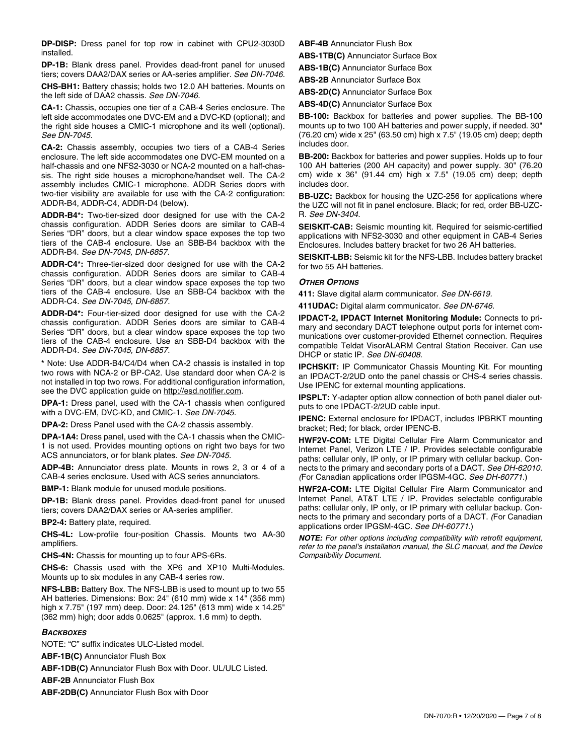**DP-DISP:** Dress panel for top row in cabinet with CPU2-3030D installed.

**DP-1B:** Blank dress panel. Provides dead-front panel for unused tiers; covers DAA2/DAX series or AA-series amplifier. *See DN-7046.*

**CHS-BH1:** Battery chassis; holds two 12.0 AH batteries. Mounts on the left side of DAA2 chassis. *See DN-7046.*

**CA-1:** Chassis, occupies one tier of a CAB-4 Series enclosure. The left side accommodates one DVC-EM and a DVC-KD (optional); and the right side houses a CMIC-1 microphone and its well (optional). *See DN-7045.*

**CA-2:** Chassis assembly, occupies two tiers of a CAB-4 Series enclosure. The left side accommodates one DVC-EM mounted on a half-chassis and one NFS2-3030 or NCA-2 mounted on a half-chassis. The right side houses a microphone/handset well. The CA-2 assembly includes CMIC-1 microphone. ADDR Series doors with two-tier visibility are available for use with the CA-2 configuration: ADDR-B4, ADDR-C4, ADDR-D4 (below).

**ADDR-B4\*:** Two-tier-sized door designed for use with the CA-2 chassis configuration. ADDR Series doors are similar to CAB-4 Series "DR" doors, but a clear window space exposes the top two tiers of the CAB-4 enclosure. Use an SBB-B4 backbox with the ADDR-B4. *See DN-7045, DN-6857.*

**ADDR-C4\*:** Three-tier-sized door designed for use with the CA-2 chassis configuration. ADDR Series doors are similar to CAB-4 Series "DR" doors, but a clear window space exposes the top two tiers of the CAB-4 enclosure. Use an SBB-C4 backbox with the ADDR-C4. *See DN-7045, DN-6857.*

**ADDR-D4\*:** Four-tier-sized door designed for use with the CA-2 chassis configuration. ADDR Series doors are similar to CAB-4 Series "DR" doors, but a clear window space exposes the top two tiers of the CAB-4 enclosure. Use an SBB-D4 backbox with the ADDR-D4. *See DN-7045, DN-6857.*

**\*** Note: Use ADDR-B4/C4/D4 when CA-2 chassis is installed in top two rows with NCA-2 or BP-CA2. Use standard door when CA-2 is not installed in top two rows. For additional configuration information, see the DVC application guide on http://esd.notifier.com.

**DPA-1:** Dress panel, used with the CA-1 chassis when configured with a DVC-EM, DVC-KD, and CMIC-1. *See DN-7045.*

**DPA-2:** Dress Panel used with the CA-2 chassis assembly.

**DPA-1A4:** Dress panel, used with the CA-1 chassis when the CMIC-1 is not used. Provides mounting options on right two bays for two ACS annunciators, or for blank plates. *See DN-7045.*

**ADP-4B:** Annunciator dress plate. Mounts in rows 2, 3 or 4 of a CAB-4 series enclosure. Used with ACS series annunciators.

**BMP-1:** Blank module for unused module positions.

**DP-1B:** Blank dress panel. Provides dead-front panel for unused tiers; covers DAA2/DAX series or AA-series amplifier.

**BP2-4:** Battery plate, required.

**CHS-4L:** Low-profile four-position Chassis. Mounts two AA-30 amplifiers.

**CHS-4N:** Chassis for mounting up to four APS-6Rs.

**CHS-6:** Chassis used with the XP6 and XP10 Multi-Modules. Mounts up to six modules in any CAB-4 series row.

**NFS-LBB:** Battery Box. The NFS-LBB is used to mount up to two 55 AH batteries. Dimensions: Box: 24" (610 mm) wide x 14" (356 mm) high x 7.75" (197 mm) deep. Door: 24.125" (613 mm) wide x 14.25" (362 mm) high; door adds 0.0625" (approx. 1.6 mm) to depth.

#### *BACKBOXES*

NOTE: "C" suffix indicates ULC-Listed model.

**ABF-1B(C)** Annunciator Flush Box

**ABF-1DB(C)** Annunciator Flush Box with Door. UL/ULC Listed.

**ABF-2B** Annunciator Flush Box

**ABF-2DB(C)** Annunciator Flush Box with Door

**ABF-4B** Annunciator Flush Box

**ABS-1TB(C)** Annunciator Surface Box

**ABS-1B(C)** Annunciator Surface Box

**ABS-2B** Annunciator Surface Box

**ABS-2D(C)** Annunciator Surface Box

**ABS-4D(C)** Annunciator Surface Box

**BB-100:** Backbox for batteries and power supplies. The BB-100 mounts up to two 100 AH batteries and power supply, if needed. 30" (76.20 cm) wide x 25" (63.50 cm) high x 7.5" (19.05 cm) deep; depth includes door.

**BB-200:** Backbox for batteries and power supplies. Holds up to four 100 AH batteries (200 AH capacity) and power supply. 30" (76.20 cm) wide x 36" (91.44 cm) high x 7.5" (19.05 cm) deep; depth includes door.

**BB-UZC:** Backbox for housing the UZC-256 for applications where the UZC will not fit in panel enclosure. Black; for red, order BB-UZC-R. *See DN-3404*.

**SEISKIT-CAB:** Seismic mounting kit. Required for seismic-certified applications with NFS2-3030 and other equipment in CAB-4 Series Enclosures. Includes battery bracket for two 26 AH batteries.

**SEISKIT-LBB:** Seismic kit for the NFS-LBB. Includes battery bracket for two 55 AH batteries.

#### *OTHER OPTIONS*

**411:** Slave digital alarm communicator. *See DN-6619.*

**411UDAC:** Digital alarm communicator. *See DN-6746.*

**IPDACT-2, IPDACT Internet Monitoring Module:** Connects to primary and secondary DACT telephone output ports for internet communications over customer-provided Ethernet connection. Requires compatible Teldat VisorALARM Central Station Receiver. Can use DHCP or static IP. *See DN-60408.* 

**IPCHSKIT:** IP Communicator Chassis Mounting Kit. For mounting an IPDACT-2/2UD onto the panel chassis or CHS-4 series chassis. Use IPENC for external mounting applications.

**IPSPLT:** Y-adapter option allow connection of both panel dialer outputs to one IPDACT-2/2UD cable input.

**IPENC:** External enclosure for IPDACT, includes IPBRKT mounting bracket; Red; for black, order IPENC-B.

**HWF2V-COM:** LTE Digital Cellular Fire Alarm Communicator and Internet Panel, Verizon LTE / IP. Provides selectable configurable paths: cellular only, IP only, or IP primary with cellular backup. Connects to the primary and secondary ports of a DACT. *See DH-62010. (*For Canadian applications order IPGSM-4GC. *See DH-60771*.)

**HWF2A-COM:** LTE Digital Cellular Fire Alarm Communicator and Internet Panel, AT&T LTE / IP. Provides selectable configurable paths: cellular only, IP only, or IP primary with cellular backup. Connects to the primary and secondary ports of a DACT. *(*For Canadian applications order IPGSM-4GC. *See DH-60771*.)

*NOTE: For other options including compatibility with retrofit equipment, refer to the panel's installation manual, the SLC manual, and the Device Compatibility Document.*